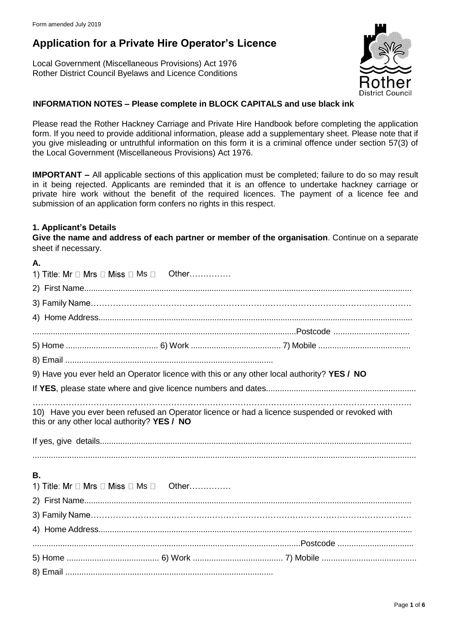# **Application for a Private Hire Operator's Licence**

Local Government (Miscellaneous Provisions) Act 1976 Rother District Council Byelaws and Licence Conditions



## **INFORMATION NOTES – Please complete in BLOCK CAPITALS and use black ink**

Please read the Rother Hackney Carriage and Private Hire Handbook before completing the application form. If you need to provide additional information, please add a supplementary sheet. Please note that if you give misleading or untruthful information on this form it is a criminal offence under section 57(3) of the Local Government (Miscellaneous Provisions) Act 1976.

**IMPORTANT –** All applicable sections of this application must be completed; failure to do so may result in it being rejected. Applicants are reminded that it is an offence to undertake hackney carriage or private hire work without the benefit of the required licences. The payment of a licence fee and submission of an application form confers no rights in this respect.

## **1. Applicant's Details**

**Give the name and address of each partner or member of the organisation**. Continue on a separate sheet if necessary.

| А.                                                                                         |  |                                                                                               |  |  |
|--------------------------------------------------------------------------------------------|--|-----------------------------------------------------------------------------------------------|--|--|
| 1) Title: Mr $\Box$ Mrs $\Box$ Miss $\Box$ Ms $\Box$ Other                                 |  |                                                                                               |  |  |
|                                                                                            |  |                                                                                               |  |  |
|                                                                                            |  |                                                                                               |  |  |
|                                                                                            |  |                                                                                               |  |  |
|                                                                                            |  |                                                                                               |  |  |
|                                                                                            |  |                                                                                               |  |  |
|                                                                                            |  |                                                                                               |  |  |
| 9) Have you ever held an Operator licence with this or any other local authority? YES / NO |  |                                                                                               |  |  |
|                                                                                            |  |                                                                                               |  |  |
| this or any other local authority? YES / NO                                                |  | 10) Have you ever been refused an Operator licence or had a licence suspended or revoked with |  |  |
| В.<br>1) Title: Mr $\Box$ Mrs $\Box$ Miss $\Box$ Ms $\Box$ Other                           |  |                                                                                               |  |  |
|                                                                                            |  |                                                                                               |  |  |
|                                                                                            |  |                                                                                               |  |  |
|                                                                                            |  |                                                                                               |  |  |
|                                                                                            |  |                                                                                               |  |  |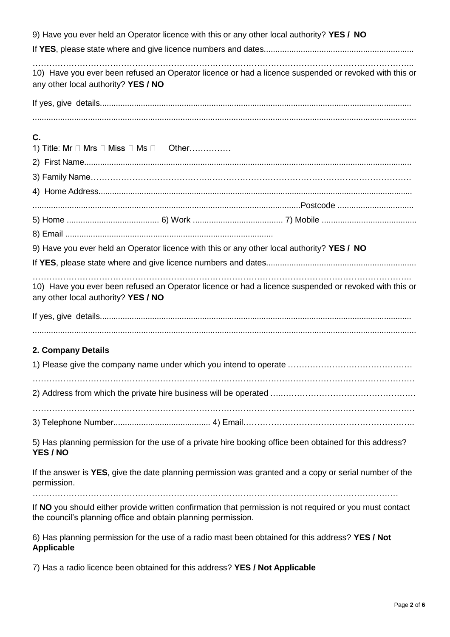| 9) Have you ever held an Operator licence with this or any other local authority? YES / NO                                                                                |  |  |
|---------------------------------------------------------------------------------------------------------------------------------------------------------------------------|--|--|
|                                                                                                                                                                           |  |  |
| 10) Have you ever been refused an Operator licence or had a licence suspended or revoked with this or<br>any other local authority? YES / NO                              |  |  |
|                                                                                                                                                                           |  |  |
|                                                                                                                                                                           |  |  |
| C.<br>1) Title: Mr $\Box$ Mrs $\Box$ Miss $\Box$ Ms $\Box$ Other                                                                                                          |  |  |
|                                                                                                                                                                           |  |  |
|                                                                                                                                                                           |  |  |
|                                                                                                                                                                           |  |  |
|                                                                                                                                                                           |  |  |
|                                                                                                                                                                           |  |  |
|                                                                                                                                                                           |  |  |
| 9) Have you ever held an Operator licence with this or any other local authority? YES / NO                                                                                |  |  |
|                                                                                                                                                                           |  |  |
| 10) Have you ever been refused an Operator licence or had a licence suspended or revoked with this or<br>any other local authority? YES / NO                              |  |  |
|                                                                                                                                                                           |  |  |
|                                                                                                                                                                           |  |  |
| 2. Company Details                                                                                                                                                        |  |  |
|                                                                                                                                                                           |  |  |
|                                                                                                                                                                           |  |  |
|                                                                                                                                                                           |  |  |
|                                                                                                                                                                           |  |  |
| 5) Has planning permission for the use of a private hire booking office been obtained for this address?<br>YES / NO                                                       |  |  |
| If the answer is YES, give the date planning permission was granted and a copy or serial number of the<br>permission.                                                     |  |  |
|                                                                                                                                                                           |  |  |
| If NO you should either provide written confirmation that permission is not required or you must contact<br>the council's planning office and obtain planning permission. |  |  |
| 6) Has planning permission for the use of a radio mast been obtained for this address? YES / Not<br><b>Applicable</b>                                                     |  |  |
| 7) Has a radio licence been obtained for this address? YES / Not Applicable                                                                                               |  |  |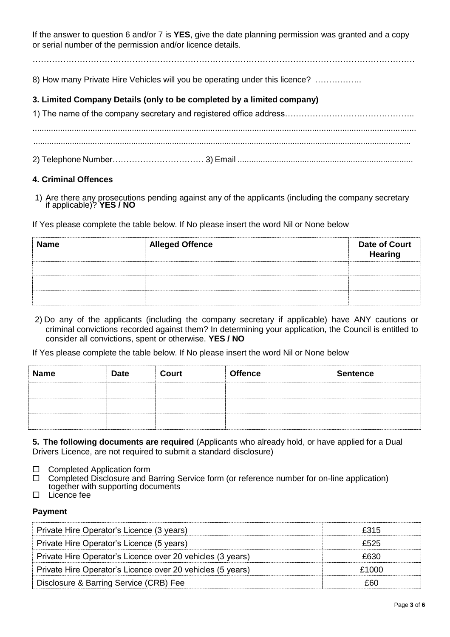If the answer to question 6 and/or 7 is **YES**, give the date planning permission was granted and a copy or serial number of the permission and/or licence details.

…………………………………………………………………………………………………………………………

8) How many Private Hire Vehicles will you be operating under this licence? .................

## **3. Limited Company Details (only to be completed by a limited company)**

## **4. Criminal Offences**

1) Are there any prosecutions pending against any of the applicants (including the company secretary if applicable)? **YES / NO**

If Yes please complete the table below. If No please insert the word Nil or None below

| <b>Name</b> | <b>Alleged Offence</b> | Date of Court<br>Hearing |
|-------------|------------------------|--------------------------|
|             |                        |                          |
|             |                        |                          |
|             |                        |                          |

2) Do any of the applicants (including the company secretary if applicable) have ANY cautions or criminal convictions recorded against them? In determining your application, the Council is entitled to consider all convictions, spent or otherwise. **YES / NO**

If Yes please complete the table below. If No please insert the word Nil or None below

| <b>Name</b> | <b>Date</b> | Court | <b>Offence</b> | <b>Sentence</b> |
|-------------|-------------|-------|----------------|-----------------|
|             |             |       |                |                 |
|             |             |       |                |                 |
|             |             |       |                |                 |

**5. The following documents are required** (Applicants who already hold, or have applied for a Dual Drivers Licence, are not required to submit a standard disclosure)

- $\square$  Completed Application form<br>  $\square$  Completed Disclosure and B
- Completed Disclosure and Barring Service form (or reference number for on-line application) together with supporting documents
- □ Licence fee

### **Payment**

| Private Hire Operator's Licence (3 years)                  | £315  |
|------------------------------------------------------------|-------|
| Private Hire Operator's Licence (5 years)                  | £525  |
| Private Hire Operator's Licence over 20 vehicles (3 years) | £630  |
| Private Hire Operator's Licence over 20 vehicles (5 years) | £1000 |
| Disclosure & Barring Service (CRB) Fee                     | £60   |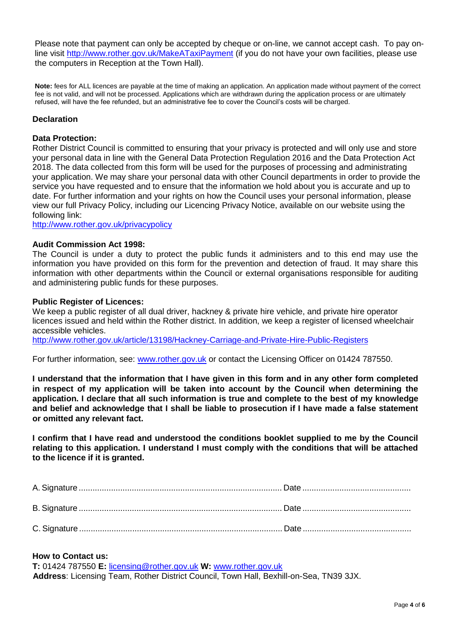Please note that payment can only be accepted by cheque or on-line, we cannot accept cash. To pay online visit<http://www.rother.gov.uk/MakeATaxiPayment> (if you do not have your own facilities, please use the computers in Reception at the Town Hall).

**Note:** fees for ALL licences are payable at the time of making an application. An application made without payment of the correct fee is not valid, and will not be processed. Applications which are withdrawn during the application process or are ultimately refused, will have the fee refunded, but an administrative fee to cover the Council's costs will be charged.

## **Declaration**

#### **Data Protection:**

Rother District Council is committed to ensuring that your privacy is protected and will only use and store your personal data in line with the General Data Protection Regulation 2016 and the Data Protection Act 2018. The data collected from this form will be used for the purposes of processing and administrating your application. We may share your personal data with other Council departments in order to provide the service you have requested and to ensure that the information we hold about you is accurate and up to date. For further information and your rights on how the Council uses your personal information, please view our full Privacy Policy, including our Licencing Privacy Notice, available on our website using the following link:

<http://www.rother.gov.uk/privacypolicy>

#### **Audit Commission Act 1998:**

The Council is under a duty to protect the public funds it administers and to this end may use the information you have provided on this form for the prevention and detection of fraud. It may share this information with other departments within the Council or external organisations responsible for auditing and administering public funds for these purposes.

#### **Public Register of Licences:**

We keep a public register of all dual driver, hackney & private hire vehicle, and private hire operator licences issued and held within the Rother district. In addition, we keep a register of licensed wheelchair accessible vehicles.

<http://www.rother.gov.uk/article/13198/Hackney-Carriage-and-Private-Hire-Public-Registers>

For further information, see: [www.rother.gov.uk](http://www.rother.gov.uk/) or contact the Licensing Officer on 01424 787550.

**I understand that the information that I have given in this form and in any other form completed in respect of my application will be taken into account by the Council when determining the application. I declare that all such information is true and complete to the best of my knowledge and belief and acknowledge that I shall be liable to prosecution if I have made a false statement or omitted any relevant fact.**

**I confirm that I have read and understood the conditions booklet supplied to me by the Council relating to this application. I understand I must comply with the conditions that will be attached to the licence if it is granted.**

### **How to Contact us:**

**T:** 01424 787550 **E:** [licensing@rother.gov.uk](mailto:licensing@rother.gov.uk) **W:** [www.rother.gov.uk](http://www.rother.gov.uk/) **Address**: Licensing Team, Rother District Council, Town Hall, Bexhill-on-Sea, TN39 3JX.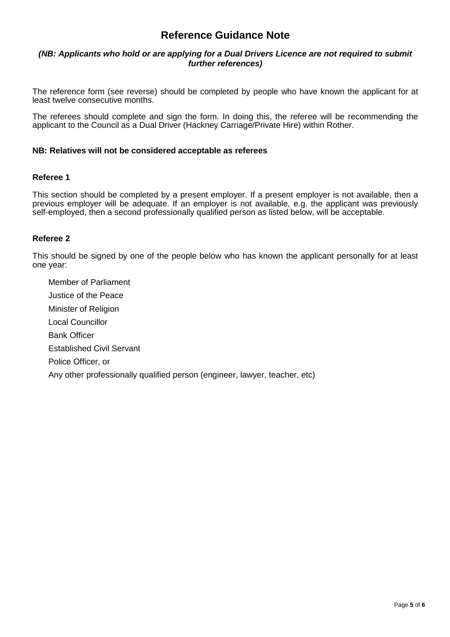## **Reference Guidance Note**

#### *(NB: Applicants who hold or are applying for a Dual Drivers Licence are not required to submit further references)*

The reference form (see reverse) should be completed by people who have known the applicant for at least twelve consecutive months.

The referees should complete and sign the form. In doing this, the referee will be recommending the applicant to the Council as a Dual Driver (Hackney Carriage/Private Hire) within Rother.

#### **NB: Relatives will not be considered acceptable as referees**

#### **Referee 1**

This section should be completed by a present employer. If a present employer is not available, then a previous employer will be adequate. If an employer is not available, e.g. the applicant was previously self-employed, then a second professionally qualified person as listed below, will be acceptable.

#### **Referee 2**

This should be signed by one of the people below who has known the applicant personally for at least one year:

Member of Parliament Justice of the Peace Minister of Religion Local Councillor Bank Officer Established Civil Servant Police Officer, or Any other professionally qualified person (engineer, lawyer, teacher, etc)